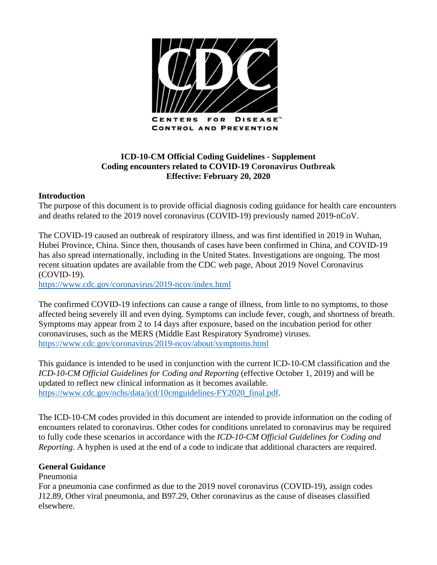

# **ICD-10-CM Official Coding Guidelines - Supplement Coding encounters related to COVID-19 Coronavirus Outbreak Effective: February 20, 2020**

## **Introduction**

The purpose of this document is to provide official diagnosis coding guidance for health care encounters and deaths related to the 2019 novel coronavirus (COVID-19) previously named 2019-nCoV.

The COVID-19 caused an outbreak of respiratory illness, and was first identified in 2019 in Wuhan, Hubei Province, China. Since then, thousands of cases have been confirmed in China, and COVID-19 has also spread internationally, including in the United States. Investigations are ongoing. The most recent situation updates are available from the CDC web page, About 2019 Novel Coronavirus (COVID-19).

<https://www.cdc.gov/coronavirus/2019-ncov/index.html>

The confirmed COVID-19 infections can cause a range of illness, from little to no symptoms, to those affected being severely ill and even dying. Symptoms can include fever, cough, and shortness of breath. Symptoms may appear from 2 to 14 days after exposure, based on the incubation period for other coronaviruses, such as the MERS (Middle East Respiratory Syndrome) viruses. <https://www.cdc.gov/coronavirus/2019-ncov/about/symptoms.html>

This guidance is intended to be used in conjunction with the current ICD-10-CM classification and the *ICD-10-CM Official Guidelines for Coding and Reporting (effective October 1, 2019)* and will be updated to reflect new clinical information as it becomes available. [https://www.cdc.gov/nchs/data/icd/10cmguidelines-FY2020\\_final.pdf.](https://www.cdc.gov/nchs/data/icd/10cmguidelines-FY2020_final.pdf)

The ICD-10-CM codes provided in this document are intended to provide information on the coding of encounters related to coronavirus. Other codes for conditions unrelated to coronavirus may be required to fully code these scenarios in accordance with the *ICD-10-CM Official Guidelines for Coding and Reporting*. A hyphen is used at the end of a code to indicate that additional characters are required.

### **General Guidance**

### Pneumonia

For a pneumonia case confirmed as due to the 2019 novel coronavirus (COVID-19), assign codes J12.89, Other viral pneumonia, and B97.29, Other coronavirus as the cause of diseases classified elsewhere.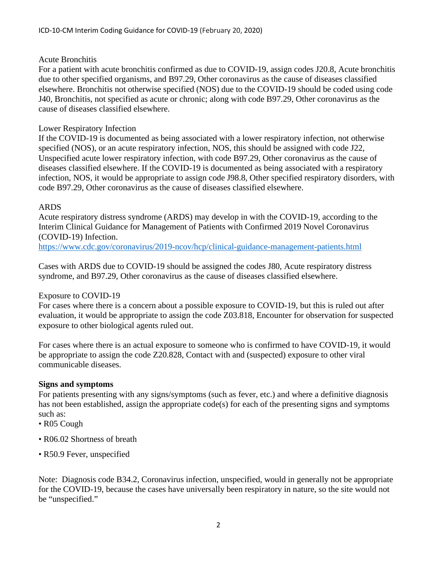## Acute Bronchitis

For a patient with acute bronchitis confirmed as due to COVID-19, assign codes J20.8, Acute bronchitis due to other specified organisms, and B97.29, Other coronavirus as the cause of diseases classified elsewhere. Bronchitis not otherwise specified (NOS) due to the COVID-19 should be coded using code J40, Bronchitis, not specified as acute or chronic; along with code B97.29, Other coronavirus as the cause of diseases classified elsewhere.

## Lower Respiratory Infection

If the COVID-19 is documented as being associated with a lower respiratory infection, not otherwise specified (NOS), or an acute respiratory infection, NOS, this should be assigned with code J22, Unspecified acute lower respiratory infection, with code B97.29, Other coronavirus as the cause of diseases classified elsewhere. If the COVID-19 is documented as being associated with a respiratory infection, NOS, it would be appropriate to assign code J98.8, Other specified respiratory disorders, with code B97.29, Other coronavirus as the cause of diseases classified elsewhere.

## ARDS

Acute respiratory distress syndrome (ARDS) may develop in with the COVID-19, according to the Interim Clinical Guidance for Management of Patients with Confirmed 2019 Novel Coronavirus (COVID-19) Infection.

<https://www.cdc.gov/coronavirus/2019-ncov/hcp/clinical-guidance-management-patients.html>

Cases with ARDS due to COVID-19 should be assigned the codes J80, Acute respiratory distress syndrome, and B97.29, Other coronavirus as the cause of diseases classified elsewhere.

### Exposure to COVID-19

For cases where there is a concern about a possible exposure to COVID-19, but this is ruled out after evaluation, it would be appropriate to assign the code Z03.818, Encounter for observation for suspected exposure to other biological agents ruled out.

For cases where there is an actual exposure to someone who is confirmed to have COVID-19, it would be appropriate to assign the code Z20.828, Contact with and (suspected) exposure to other viral communicable diseases.

### **Signs and symptoms**

For patients presenting with any signs/symptoms (such as fever, etc.) and where a definitive diagnosis has not been established, assign the appropriate code(s) for each of the presenting signs and symptoms such as:

- R05 Cough
- R06.02 Shortness of breath
- R50.9 Fever, unspecified

Note: Diagnosis code B34.2, Coronavirus infection, unspecified, would in generally not be appropriate for the COVID-19, because the cases have universally been respiratory in nature, so the site would not be "unspecified."